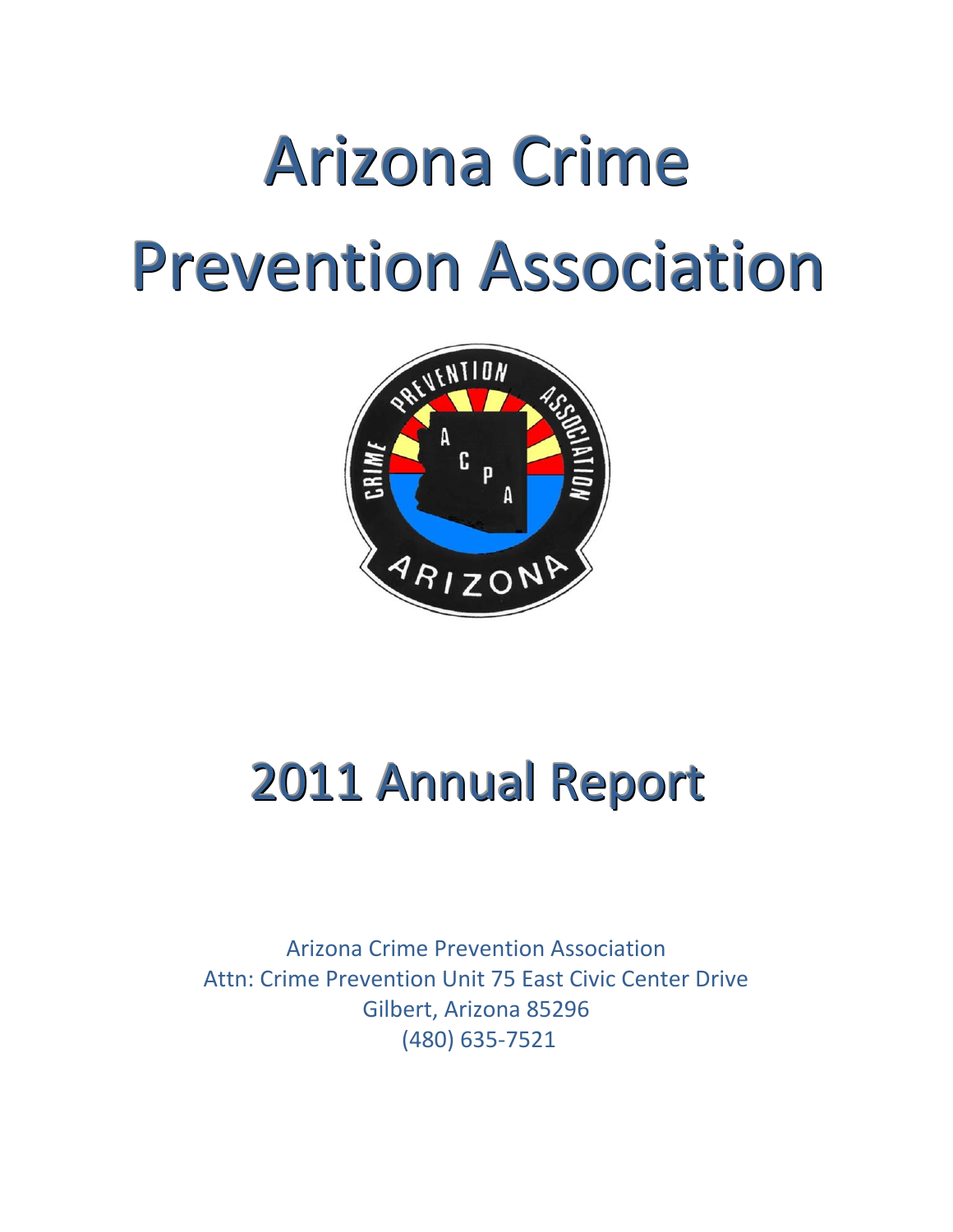# Arizona Crime Prevention Association



# 2011 Annual Report

Arizona Crime Prevention Association Attn: Crime Prevention Unit 75 East Civic Center Drive Gilbert, Arizona 85296 (480) 635‐7521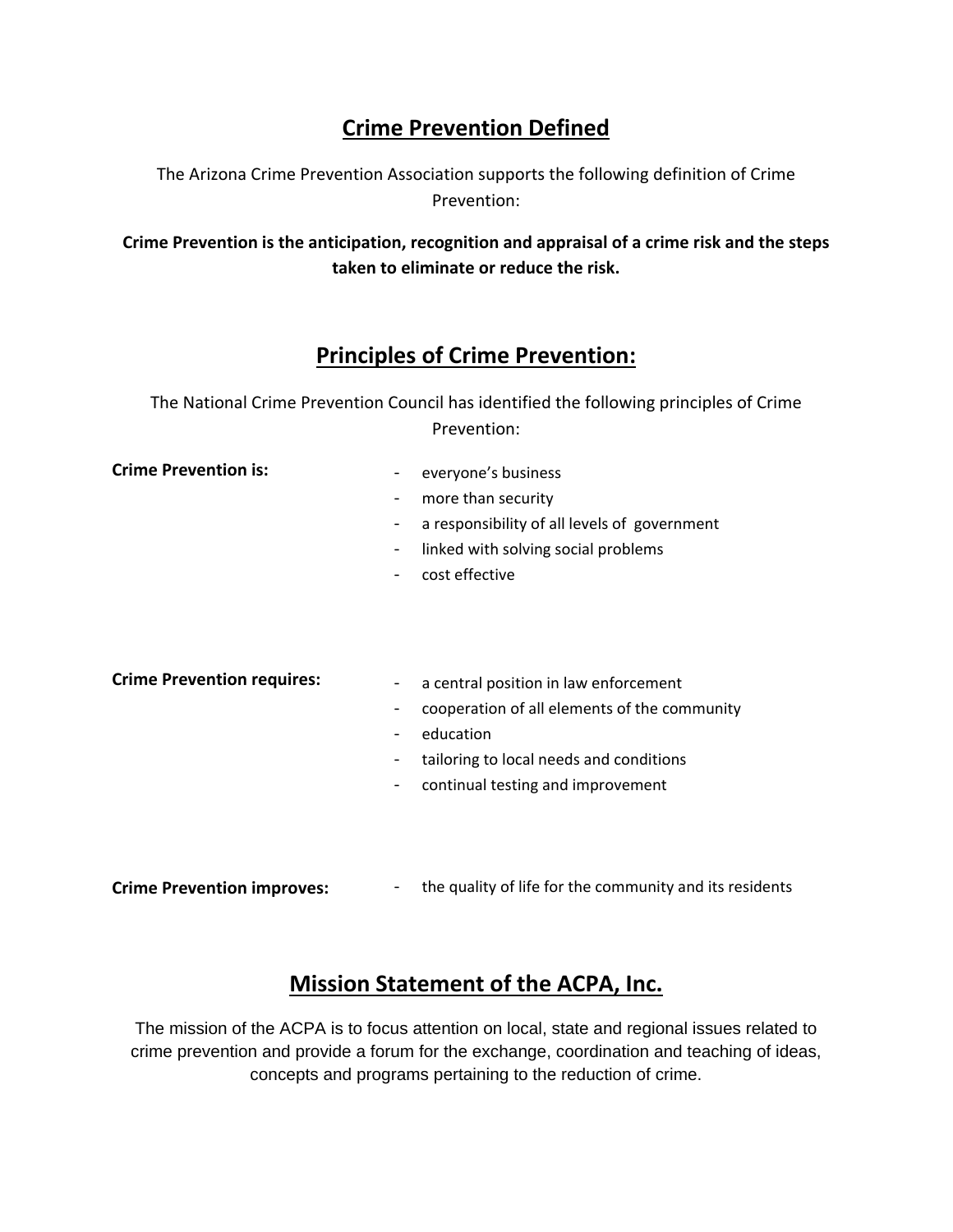## **Crime Prevention Defined**

The Arizona Crime Prevention Association supports the following definition of Crime Prevention:

**Crime Prevention is the anticipation, recognition and appraisal of a crime risk and the steps taken to eliminate or reduce the risk.** 

# **Principles of Crime Prevention:**

The National Crime Prevention Council has identified the following principles of Crime Prevention:

**Crime Prevention is:** 

- ‐ everyone's business
	- ‐ more than security
	- ‐ a responsibility of all levels of government
	- ‐ linked with solving social problems
	- ‐ cost effective

**Crime Prevention requires:**

- ‐ a central position in law enforcement
- ‐ cooperation of all elements of the community
- ‐ education
- ‐ tailoring to local needs and conditions
- ‐ continual testing and improvement
- **Crime Prevention improves:** ‐ the quality of life for the community and its residents

### **Mission Statement of the ACPA, Inc.**

The mission of the ACPA is to focus attention on local, state and regional issues related to crime prevention and provide a forum for the exchange, coordination and teaching of ideas, concepts and programs pertaining to the reduction of crime.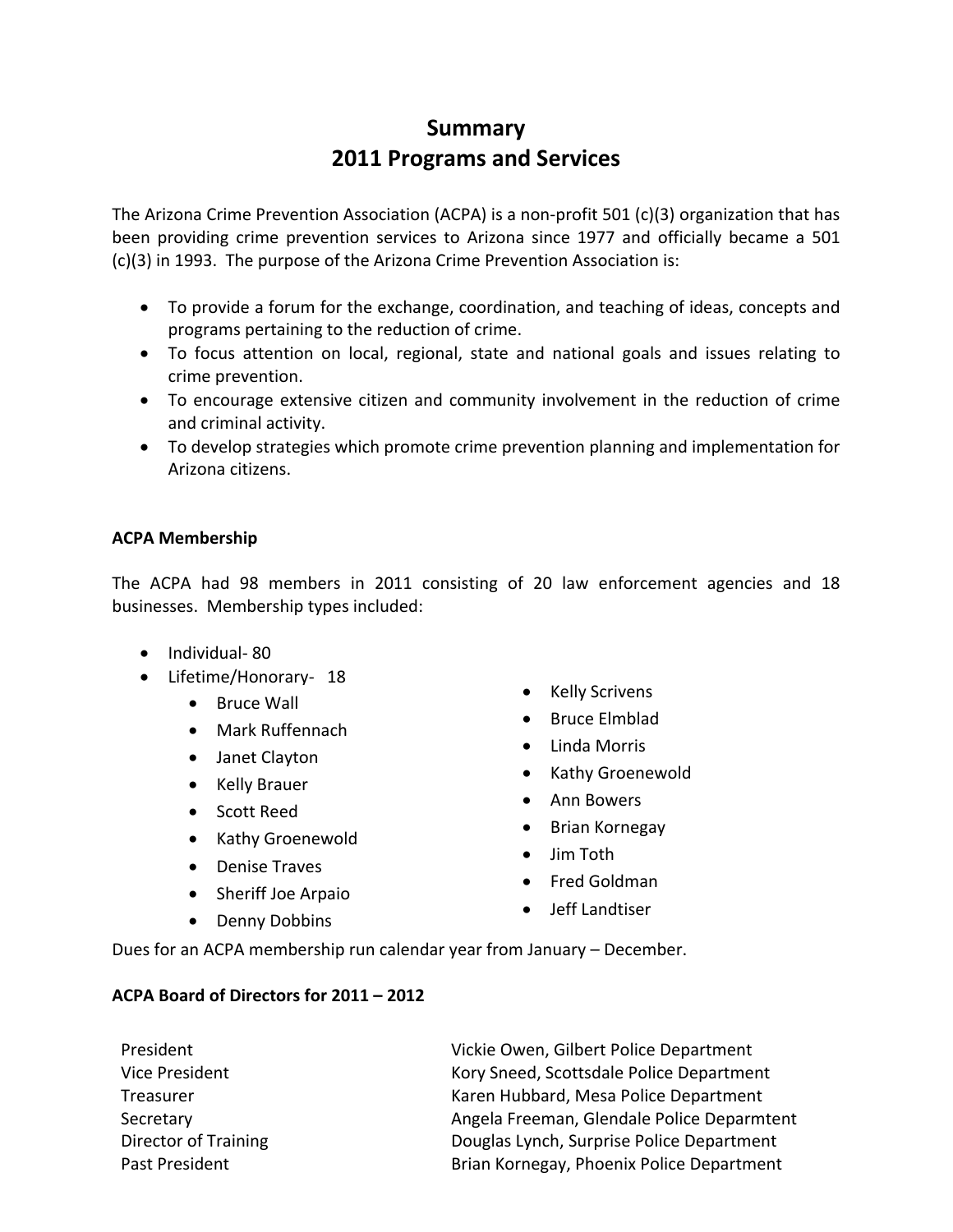# **Summary 2011 Programs and Services**

The Arizona Crime Prevention Association (ACPA) is a non‐profit 501 (c)(3) organization that has been providing crime prevention services to Arizona since 1977 and officially became a 501 (c)(3) in 1993. The purpose of the Arizona Crime Prevention Association is:

- To provide a forum for the exchange, coordination, and teaching of ideas, concepts and programs pertaining to the reduction of crime.
- To focus attention on local, regional, state and national goals and issues relating to crime prevention.
- To encourage extensive citizen and community involvement in the reduction of crime and criminal activity.
- To develop strategies which promote crime prevention planning and implementation for Arizona citizens.

#### **ACPA Membership**

The ACPA had 98 members in 2011 consisting of 20 law enforcement agencies and 18 businesses. Membership types included:

- Individual-80
- Lifetime/Honorary‐ 18
	- Bruce Wall
	- Mark Ruffennach
	- Janet Clayton
	- Kelly Brauer
	- Scott Reed
	- Kathy Groenewold
	- Denise Traves
	- Sheriff Joe Arpaio
	- Denny Dobbins
- Kelly Scrivens
- Bruce Elmblad
- Linda Morris
- Kathy Groenewold
- Ann Bowers
- Brian Kornegay
- Jim Toth
- Fred Goldman
- Jeff Landtiser

Dues for an ACPA membership run calendar year from January – December.

#### **ACPA Board of Directors for 2011 – 2012**

President Vice President **Treasurer** Secretary Director of Training Past President Vickie Owen, Gilbert Police Department Kory Sneed, Scottsdale Police Department Karen Hubbard, Mesa Police Department Angela Freeman, Glendale Police Deparmtent Douglas Lynch, Surprise Police Department Brian Kornegay, Phoenix Police Department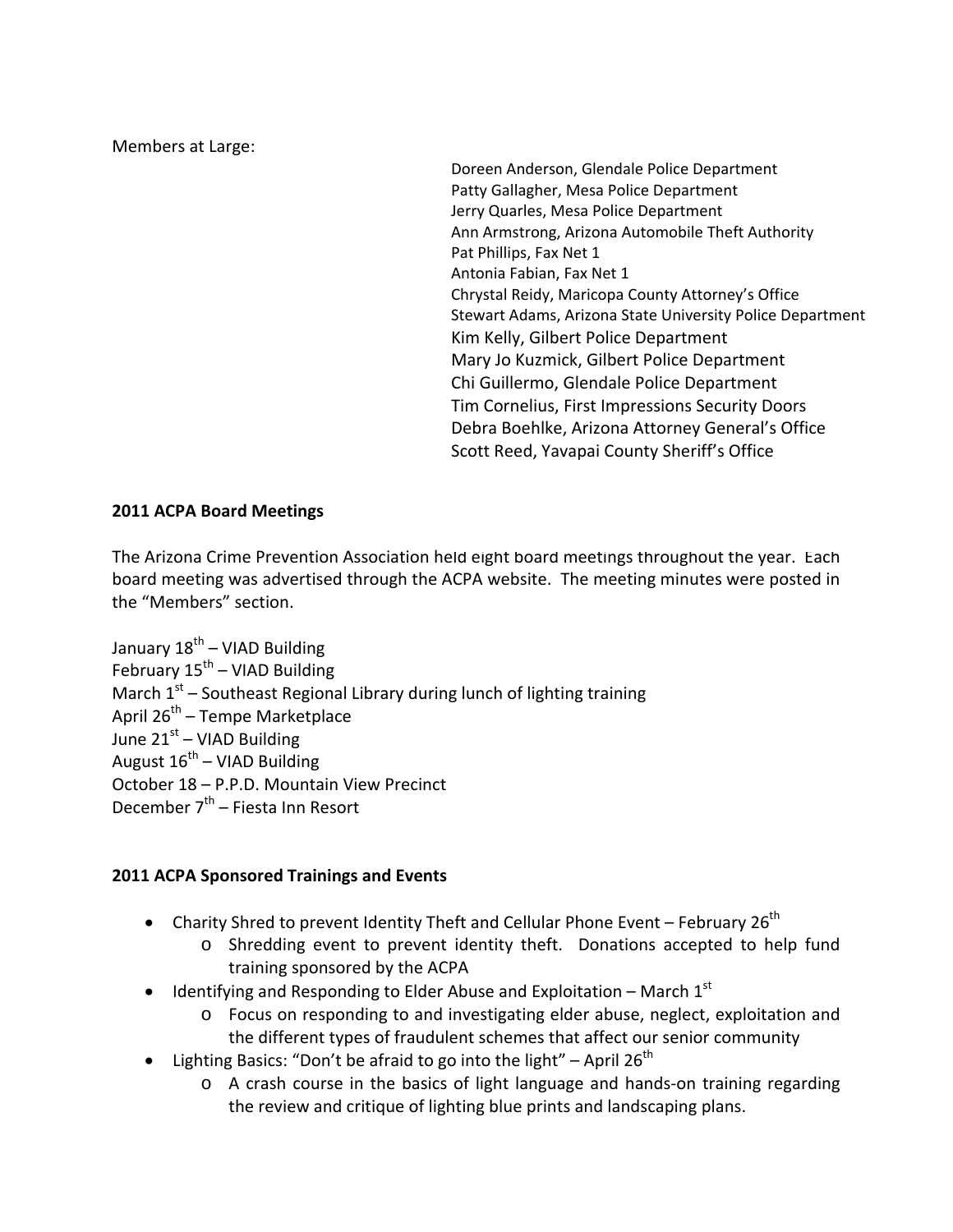Members at Large:

Doreen Anderson, Glendale Police Department Patty Gallagher, Mesa Police Department Jerry Quarles, Mesa Police Department Ann Armstrong, Arizona Automobile Theft Authority Pat Phillips, Fax Net 1 Antonia Fabian, Fax Net 1 Chrystal Reidy, Maricopa County Attorney's Office Stewart Adams, Arizona State University Police Department Kim Kelly, Gilbert Police Department Mary Jo Kuzmick, Gilbert Police Department Chi Guillermo, Glendale Police Department Tim Cornelius, First Impressions Security Doors Debra Boehlke, Arizona Attorney General's Office Scott Reed, Yavapai County Sheriff's Office

#### **2011 ACPA Board Meetings**

The Arizona Crime Prevention Association held eight board meetings throughout the year. Each board meeting was advertised through the ACPA website. The meeting minutes were posted in the "Members" section. 

January  $18^{th}$  – VIAD Building February  $15^{th}$  – VIAD Building March  $1^{st}$  – Southeast Regional Library during lunch of lighting training April  $26^{th}$  – Tempe Marketplace June  $21<sup>st</sup>$  – VIAD Building August  $16^{th}$  – VIAD Building October 18 – P.P.D. Mountain View Precinct December  $7<sup>th</sup>$  – Fiesta Inn Resort

#### **2011 ACPA Sponsored Trainings and Events**

- Charity Shred to prevent Identity Theft and Cellular Phone Event February 26<sup>th</sup>
	- o Shredding event to prevent identity theft. Donations accepted to help fund training sponsored by the ACPA
- $\bullet$  Identifying and Responding to Elder Abuse and Exploitation March 1<sup>st</sup>
	- o Focus on responding to and investigating elder abuse, neglect, exploitation and the different types of fraudulent schemes that affect our senior community
- Lighting Basics: "Don't be afraid to go into the light" April 26<sup>th</sup>
	- o A crash course in the basics of light language and hands‐on training regarding the review and critique of lighting blue prints and landscaping plans.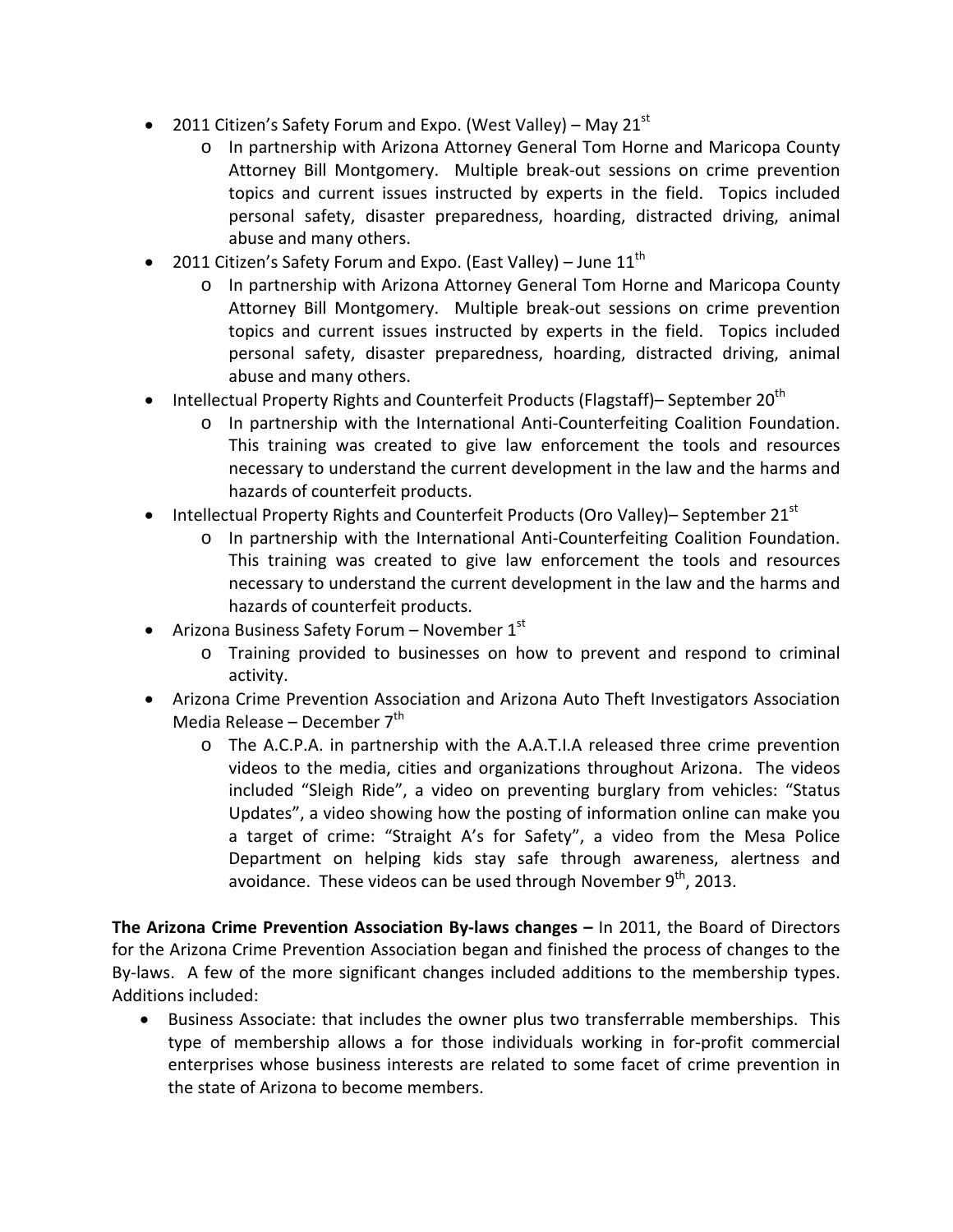- 2011 Citizen's Safety Forum and Expo. (West Valley) May 21 $^{\rm st}$ 
	- o In partnership with Arizona Attorney General Tom Horne and Maricopa County Attorney Bill Montgomery. Multiple break-out sessions on crime prevention topics and current issues instructed by experts in the field. Topics included personal safety, disaster preparedness, hoarding, distracted driving, animal abuse and many others.
- 2011 Citizen's Safety Forum and Expo. (East Valley) June  $11<sup>th</sup>$ 
	- o In partnership with Arizona Attorney General Tom Horne and Maricopa County Attorney Bill Montgomery. Multiple break-out sessions on crime prevention topics and current issues instructed by experts in the field. Topics included personal safety, disaster preparedness, hoarding, distracted driving, animal abuse and many others.
- **Intellectual Property Rights and Counterfeit Products (Flagstaff)– September 20<sup>th</sup>** 
	- o In partnership with the International Anti‐Counterfeiting Coalition Foundation. This training was created to give law enforcement the tools and resources necessary to understand the current development in the law and the harms and hazards of counterfeit products.
- **Intellectual Property Rights and Counterfeit Products (Oro Valley)– September 21**<sup>st</sup>
	- In partnership with the International Anti-Counterfeiting Coalition Foundation. This training was created to give law enforcement the tools and resources necessary to understand the current development in the law and the harms and hazards of counterfeit products.
- Arizona Business Safety Forum November  $1<sup>st</sup>$ 
	- o Training provided to businesses on how to prevent and respond to criminal activity.
- Arizona Crime Prevention Association and Arizona Auto Theft Investigators Association Media Release – December  $7<sup>th</sup>$ 
	- o The A.C.P.A. in partnership with the A.A.T.I.A released three crime prevention videos to the media, cities and organizations throughout Arizona. The videos included "Sleigh Ride", a video on preventing burglary from vehicles: "Status Updates", a video showing how the posting of information online can make you a target of crime: "Straight A's for Safety", a video from the Mesa Police Department on helping kids stay safe through awareness, alertness and avoidance. These videos can be used through November  $9<sup>th</sup>$ , 2013.

**The Arizona Crime Prevention Association By‐laws changes –** In 2011, the Board of Directors for the Arizona Crime Prevention Association began and finished the process of changes to the By-laws. A few of the more significant changes included additions to the membership types. Additions included:

 Business Associate: that includes the owner plus two transferrable memberships. This type of membership allows a for those individuals working in for‐profit commercial enterprises whose business interests are related to some facet of crime prevention in the state of Arizona to become members.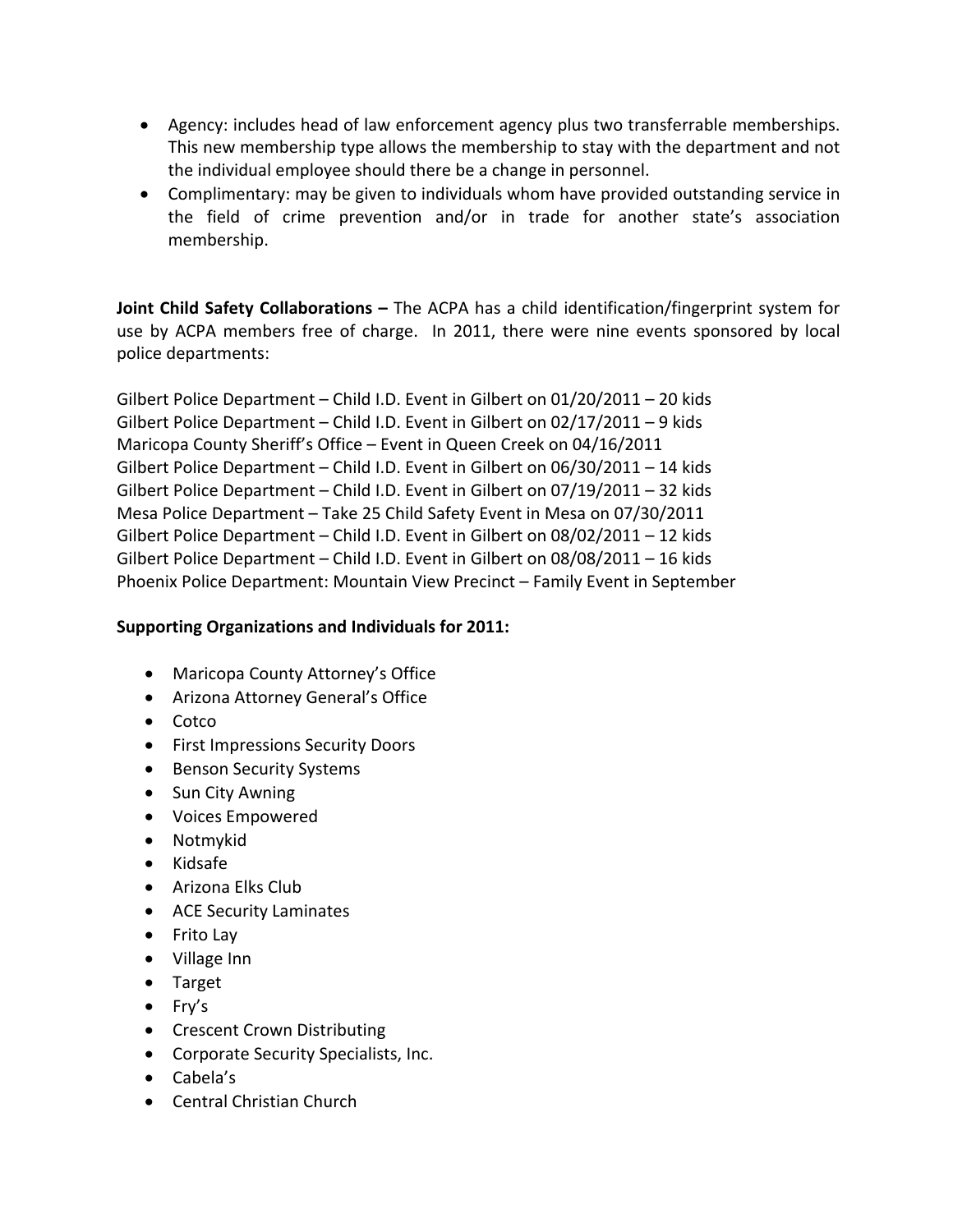- Agency: includes head of law enforcement agency plus two transferrable memberships. This new membership type allows the membership to stay with the department and not the individual employee should there be a change in personnel.
- Complimentary: may be given to individuals whom have provided outstanding service in the field of crime prevention and/or in trade for another state's association membership.

**Joint Child Safety Collaborations –** The ACPA has a child identification/fingerprint system for use by ACPA members free of charge. In 2011, there were nine events sponsored by local police departments:

Gilbert Police Department – Child I.D. Event in Gilbert on 01/20/2011 – 20 kids Gilbert Police Department – Child I.D. Event in Gilbert on 02/17/2011 – 9 kids Maricopa County Sheriff's Office – Event in Queen Creek on 04/16/2011 Gilbert Police Department – Child I.D. Event in Gilbert on 06/30/2011 – 14 kids Gilbert Police Department – Child I.D. Event in Gilbert on 07/19/2011 – 32 kids Mesa Police Department – Take 25 Child Safety Event in Mesa on 07/30/2011 Gilbert Police Department – Child I.D. Event in Gilbert on 08/02/2011 – 12 kids Gilbert Police Department – Child I.D. Event in Gilbert on 08/08/2011 – 16 kids Phoenix Police Department: Mountain View Precinct – Family Event in September

#### **Supporting Organizations and Individuals for 2011:**

- Maricopa County Attorney's Office
- Arizona Attorney General's Office
- Cotco
- First Impressions Security Doors
- Benson Security Systems
- Sun City Awning
- Voices Empowered
- Notmykid
- Kidsafe
- Arizona Elks Club
- ACE Security Laminates
- Frito Lay
- Village Inn
- Target
- $\bullet$  Fry's
- Crescent Crown Distributing
- Corporate Security Specialists, Inc.
- Cabela's
- Central Christian Church